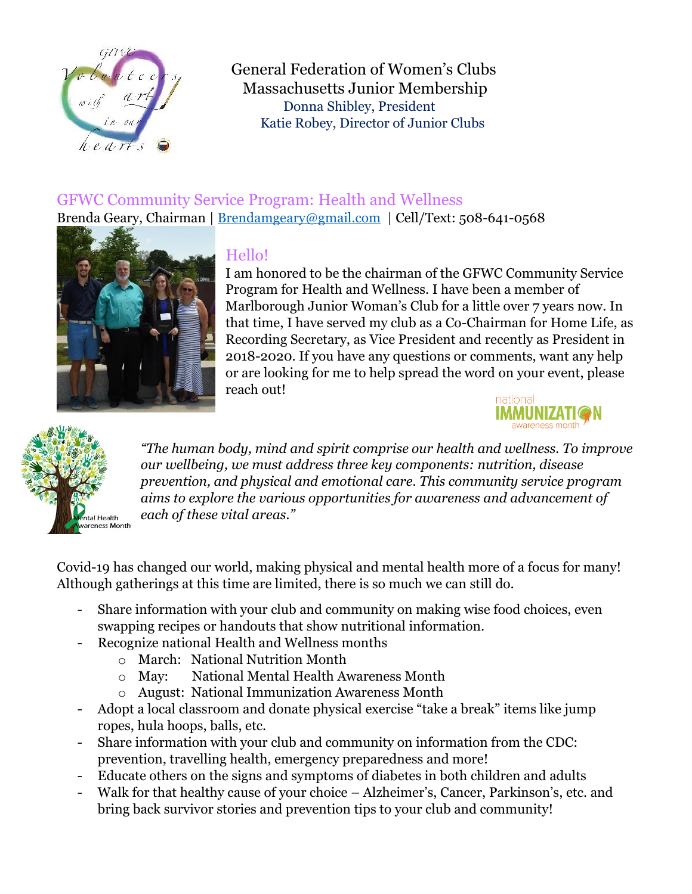

General Federation of Women's Clubs Massachusetts Junior Membership Donna Shibley, President Katie Robey, Director of Junior Clubs

## GFWC Community Service Program: Health and Wellness Brenda Geary, Chairman | Brendamgeary@gmail.com | Cell/Text: 508-641-0568



## Hello!

I am honored to be the chairman of the GFWC Community Service Program for Health and Wellness. I have been a member of Marlborough Junior Woman's Club for a little over 7 years now. In that time, I have served my club as a Co-Chairman for Home Life, as Recording Secretary, as Vice President and recently as President in 2018-2020. If you have any questions or comments, want any help or are looking for me to help spread the word on your event, please reach out!





*"The human body, mind and spirit comprise our health and wellness. To improve our wellbeing, we must address three key components: nutrition, disease prevention, and physical and emotional care. This community service program aims to explore the various opportunities for awareness and advancement of each of these vital areas."* 

Covid-19 has changed our world, making physical and mental health more of a focus for many! Although gatherings at this time are limited, there is so much we can still do.

- Share information with your club and community on making wise food choices, even swapping recipes or handouts that show nutritional information.
- Recognize national Health and Wellness months
	- o March: National Nutrition Month
	- o May: National Mental Health Awareness Month
	- o August: National Immunization Awareness Month
- Adopt a local classroom and donate physical exercise "take a break" items like jump ropes, hula hoops, balls, etc.
- Share information with your club and community on information from the CDC: prevention, travelling health, emergency preparedness and more!
- Educate others on the signs and symptoms of diabetes in both children and adults
- Walk for that healthy cause of your choice Alzheimer's, Cancer, Parkinson's, etc. and bring back survivor stories and prevention tips to your club and community!